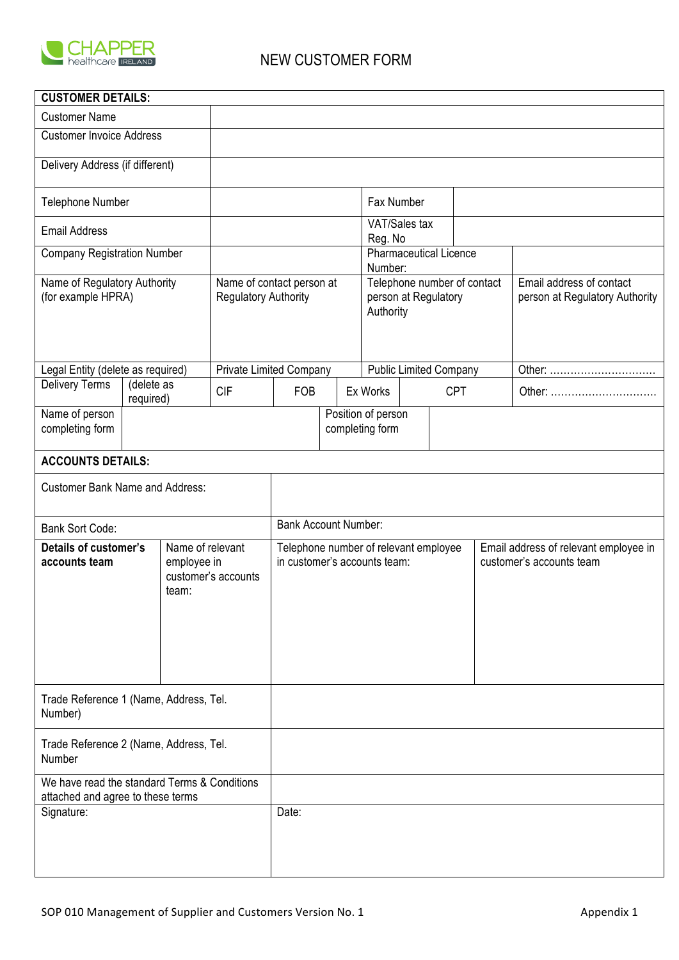

| <b>CUSTOMER DETAILS:</b>                                                                  |                         |                     |                                                          |                             |                                       |                                                                       |                               |  |                                                                   |                                                            |
|-------------------------------------------------------------------------------------------|-------------------------|---------------------|----------------------------------------------------------|-----------------------------|---------------------------------------|-----------------------------------------------------------------------|-------------------------------|--|-------------------------------------------------------------------|------------------------------------------------------------|
| <b>Customer Name</b>                                                                      |                         |                     |                                                          |                             |                                       |                                                                       |                               |  |                                                                   |                                                            |
| <b>Customer Invoice Address</b>                                                           |                         |                     |                                                          |                             |                                       |                                                                       |                               |  |                                                                   |                                                            |
| Delivery Address (if different)                                                           |                         |                     |                                                          |                             |                                       |                                                                       |                               |  |                                                                   |                                                            |
| Telephone Number                                                                          |                         |                     |                                                          |                             | Fax Number                            |                                                                       |                               |  |                                                                   |                                                            |
| <b>Email Address</b>                                                                      |                         |                     |                                                          |                             | VAT/Sales tax<br>Reg. No              |                                                                       |                               |  |                                                                   |                                                            |
| <b>Company Registration Number</b>                                                        |                         |                     |                                                          |                             |                                       | <b>Pharmaceutical Licence</b><br>Number:                              |                               |  |                                                                   |                                                            |
| Name of Regulatory Authority<br>(for example HPRA)                                        |                         |                     | Name of contact person at<br><b>Regulatory Authority</b> |                             |                                       | Telephone number of contact<br>person at Regulatory<br>Authority      |                               |  |                                                                   | Email address of contact<br>person at Regulatory Authority |
| Legal Entity (delete as required)                                                         |                         |                     | <b>Private Limited Company</b>                           |                             |                                       |                                                                       | <b>Public Limited Company</b> |  |                                                                   | Other:                                                     |
| <b>Delivery Terms</b>                                                                     | (delete as<br>required) |                     | <b>CIF</b>                                               | <b>FOB</b>                  |                                       | Ex Works                                                              |                               |  | <b>CPT</b>                                                        | Other:                                                     |
| Name of person<br>completing form                                                         |                         |                     |                                                          |                             | Position of person<br>completing form |                                                                       |                               |  |                                                                   |                                                            |
| <b>ACCOUNTS DETAILS:</b>                                                                  |                         |                     |                                                          |                             |                                       |                                                                       |                               |  |                                                                   |                                                            |
| <b>Customer Bank Name and Address:</b>                                                    |                         |                     |                                                          |                             |                                       |                                                                       |                               |  |                                                                   |                                                            |
| <b>Bank Sort Code:</b>                                                                    |                         |                     |                                                          | <b>Bank Account Number:</b> |                                       |                                                                       |                               |  |                                                                   |                                                            |
| Name of relevant<br><b>Details of customer's</b><br>employee in<br>accounts team<br>team: |                         | customer's accounts |                                                          |                             |                                       | Telephone number of relevant employee<br>in customer's accounts team: |                               |  | Email address of relevant employee in<br>customer's accounts team |                                                            |
| Trade Reference 1 (Name, Address, Tel.<br>Number)                                         |                         |                     |                                                          |                             |                                       |                                                                       |                               |  |                                                                   |                                                            |
| Trade Reference 2 (Name, Address, Tel.<br>Number                                          |                         |                     |                                                          |                             |                                       |                                                                       |                               |  |                                                                   |                                                            |
| We have read the standard Terms & Conditions<br>attached and agree to these terms         |                         |                     |                                                          |                             |                                       |                                                                       |                               |  |                                                                   |                                                            |
| Signature:                                                                                |                         |                     |                                                          | Date:                       |                                       |                                                                       |                               |  |                                                                   |                                                            |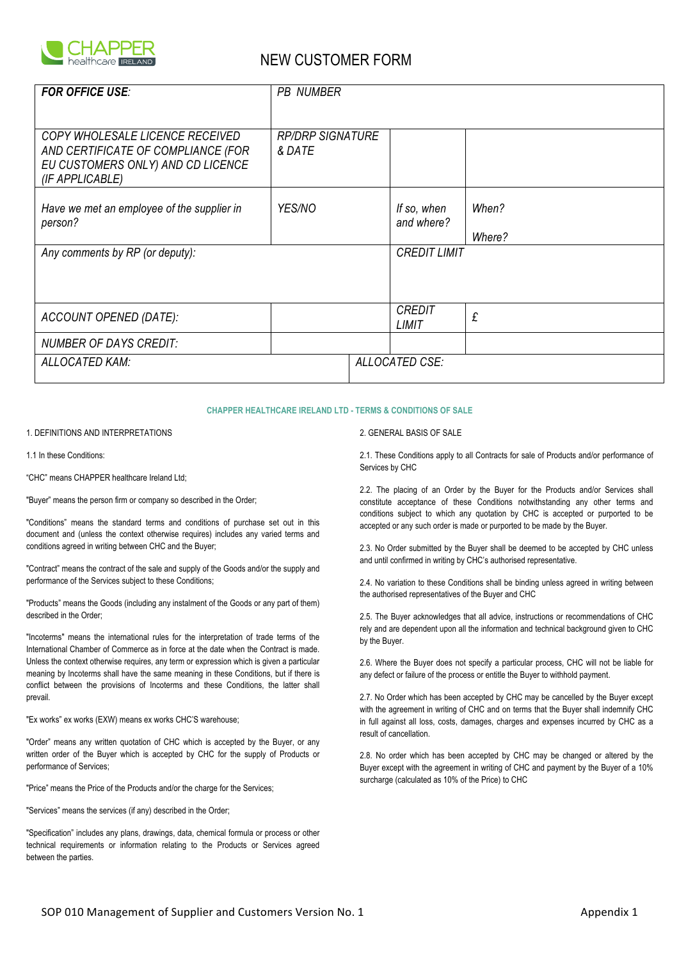

| <b>FOR OFFICE USE:</b>                                                                                                        | <b>PB NUMBER</b>                  |  |                           |                 |  |
|-------------------------------------------------------------------------------------------------------------------------------|-----------------------------------|--|---------------------------|-----------------|--|
|                                                                                                                               |                                   |  |                           |                 |  |
| COPY WHOLESALE LICENCE RECEIVED<br>AND CERTIFICATE OF COMPLIANCE (FOR<br>EU CUSTOMERS ONLY) AND CD LICENCE<br>(IF APPLICABLE) | <b>RP/DRP SIGNATURE</b><br>& DATE |  |                           |                 |  |
| Have we met an employee of the supplier in<br>person?                                                                         | YES/NO                            |  | If so, when<br>and where? | When?<br>Where? |  |
| Any comments by RP (or deputy):                                                                                               |                                   |  | <b>CREDIT LIMIT</b>       |                 |  |
| ACCOUNT OPENED (DATE):                                                                                                        |                                   |  | <b>CREDIT</b><br>LIMIT    | £               |  |
| <b>NUMBER OF DAYS CREDIT:</b>                                                                                                 |                                   |  |                           |                 |  |
| ALLOCATED KAM:                                                                                                                |                                   |  | ALLOCATED CSE:            |                 |  |

# **CHAPPER HEALTHCARE IRELAND LTD - TERMS & CONDITIONS OF SALE**

# 1. DEFINITIONS AND INTERPRETATIONS

1.1 In these Conditions:

"CHC" means CHAPPER healthcare Ireland Ltd;

"Buyer" means the person firm or company so described in the Order;

"Conditions" means the standard terms and conditions of purchase set out in this document and (unless the context otherwise requires) includes any varied terms and conditions agreed in writing between CHC and the Buyer;

"Contract" means the contract of the sale and supply of the Goods and/or the supply and performance of the Services subject to these Conditions;

"Products" means the Goods (including any instalment of the Goods or any part of them) described in the Order;

"Incoterms" means the international rules for the interpretation of trade terms of the International Chamber of Commerce as in force at the date when the Contract is made. Unless the context otherwise requires, any term or expression which is given a particular meaning by Incoterms shall have the same meaning in these Conditions, but if there is conflict between the provisions of Incoterms and these Conditions, the latter shall prevail.

"Ex works" ex works (EXW) means ex works CHC'S warehouse;

"Order" means any written quotation of CHC which is accepted by the Buyer, or any written order of the Buyer which is accepted by CHC for the supply of Products or performance of Services;

"Price" means the Price of the Products and/or the charge for the Services;

"Services" means the services (if any) described in the Order;

"Specification" includes any plans, drawings, data, chemical formula or process or other technical requirements or information relating to the Products or Services agreed between the parties.

2. GENERAL BASIS OF SALE

2.1. These Conditions apply to all Contracts for sale of Products and/or performance of Services by CHC

2.2. The placing of an Order by the Buyer for the Products and/or Services shall constitute acceptance of these Conditions notwithstanding any other terms and conditions subject to which any quotation by CHC is accepted or purported to be accepted or any such order is made or purported to be made by the Buyer.

2.3. No Order submitted by the Buyer shall be deemed to be accepted by CHC unless and until confirmed in writing by CHC's authorised representative.

2.4. No variation to these Conditions shall be binding unless agreed in writing between the authorised representatives of the Buyer and CHC

2.5. The Buyer acknowledges that all advice, instructions or recommendations of CHC rely and are dependent upon all the information and technical background given to CHC by the Buyer.

2.6. Where the Buyer does not specify a particular process, CHC will not be liable for any defect or failure of the process or entitle the Buyer to withhold payment.

2.7. No Order which has been accepted by CHC may be cancelled by the Buyer except with the agreement in writing of CHC and on terms that the Buyer shall indemnify CHC in full against all loss, costs, damages, charges and expenses incurred by CHC as a result of cancellation.

2.8. No order which has been accepted by CHC may be changed or altered by the Buyer except with the agreement in writing of CHC and payment by the Buyer of a 10% surcharge (calculated as 10% of the Price) to CHC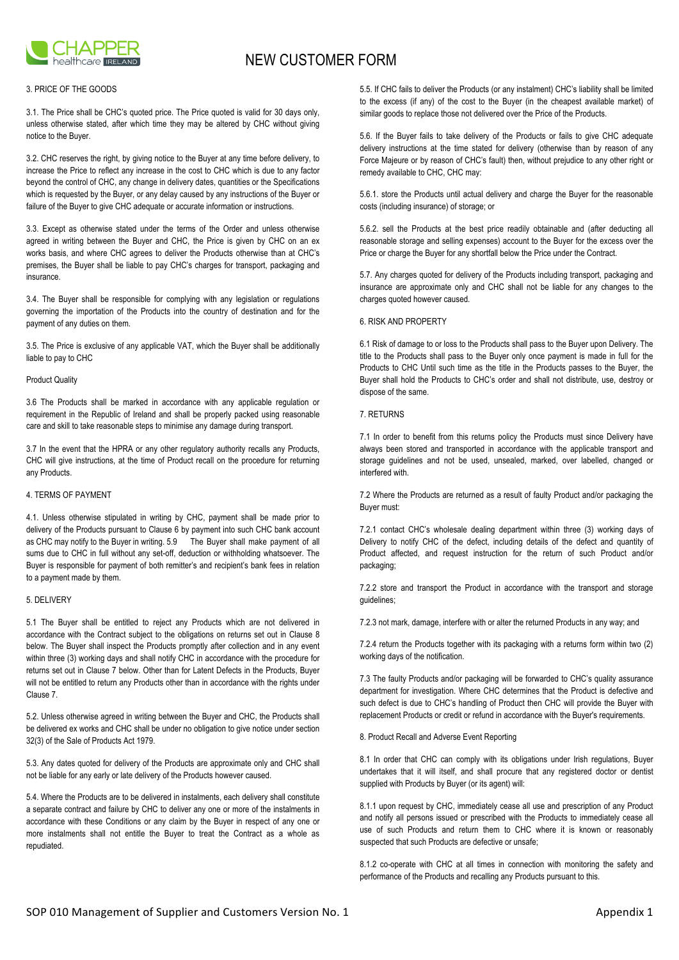

# 3. PRICE OF THE GOODS

3.1. The Price shall be CHC's quoted price. The Price quoted is valid for 30 days only, unless otherwise stated, after which time they may be altered by CHC without giving notice to the Buyer.

3.2. CHC reserves the right, by giving notice to the Buyer at any time before delivery, to increase the Price to reflect any increase in the cost to CHC which is due to any factor beyond the control of CHC, any change in delivery dates, quantities or the Specifications which is requested by the Buyer, or any delay caused by any instructions of the Buyer or failure of the Buyer to give CHC adequate or accurate information or instructions.

3.3. Except as otherwise stated under the terms of the Order and unless otherwise agreed in writing between the Buyer and CHC, the Price is given by CHC on an ex works basis, and where CHC agrees to deliver the Products otherwise than at CHC's premises, the Buyer shall be liable to pay CHC's charges for transport, packaging and insurance.

3.4. The Buyer shall be responsible for complying with any legislation or regulations governing the importation of the Products into the country of destination and for the payment of any duties on them.

3.5. The Price is exclusive of any applicable VAT, which the Buyer shall be additionally liable to pay to CHC

### Product Quality

3.6 The Products shall be marked in accordance with any applicable regulation or requirement in the Republic of Ireland and shall be properly packed using reasonable care and skill to take reasonable steps to minimise any damage during transport.

3.7 In the event that the HPRA or any other regulatory authority recalls any Products, CHC will give instructions, at the time of Product recall on the procedure for returning any Products.

# 4. TERMS OF PAYMENT

4.1. Unless otherwise stipulated in writing by CHC, payment shall be made prior to delivery of the Products pursuant to Clause 6 by payment into such CHC bank account as CHC may notify to the Buyer in writing. 5.9 The Buyer shall make payment of all sums due to CHC in full without any set-off, deduction or withholding whatsoever. The Buyer is responsible for payment of both remitter's and recipient's bank fees in relation to a payment made by them.

## 5. DELIVERY

5.1 The Buyer shall be entitled to reject any Products which are not delivered in accordance with the Contract subject to the obligations on returns set out in Clause 8 below. The Buyer shall inspect the Products promptly after collection and in any event within three (3) working days and shall notify CHC in accordance with the procedure for returns set out in Clause 7 below. Other than for Latent Defects in the Products, Buyer will not be entitled to return any Products other than in accordance with the rights under Clause 7.

5.2. Unless otherwise agreed in writing between the Buyer and CHC, the Products shall be delivered ex works and CHC shall be under no obligation to give notice under section 32(3) of the Sale of Products Act 1979.

5.3. Any dates quoted for delivery of the Products are approximate only and CHC shall not be liable for any early or late delivery of the Products however caused.

5.4. Where the Products are to be delivered in instalments, each delivery shall constitute a separate contract and failure by CHC to deliver any one or more of the instalments in accordance with these Conditions or any claim by the Buyer in respect of any one or more instalments shall not entitle the Buyer to treat the Contract as a whole as repudiated.

5.5. If CHC fails to deliver the Products (or any instalment) CHC's liability shall be limited to the excess (if any) of the cost to the Buyer (in the cheapest available market) of similar goods to replace those not delivered over the Price of the Products.

5.6. If the Buyer fails to take delivery of the Products or fails to give CHC adequate delivery instructions at the time stated for delivery (otherwise than by reason of any Force Majeure or by reason of CHC's fault) then, without prejudice to any other right or remedy available to CHC, CHC may:

5.6.1. store the Products until actual delivery and charge the Buyer for the reasonable costs (including insurance) of storage; or

5.6.2. sell the Products at the best price readily obtainable and (after deducting all reasonable storage and selling expenses) account to the Buyer for the excess over the Price or charge the Buyer for any shortfall below the Price under the Contract.

5.7. Any charges quoted for delivery of the Products including transport, packaging and insurance are approximate only and CHC shall not be liable for any changes to the charges quoted however caused.

## 6. RISK AND PROPERTY

6.1 Risk of damage to or loss to the Products shall pass to the Buyer upon Delivery. The title to the Products shall pass to the Buyer only once payment is made in full for the Products to CHC Until such time as the title in the Products passes to the Buyer, the Buyer shall hold the Products to CHC's order and shall not distribute, use, destroy or dispose of the same.

#### 7. RETURNS

7.1 In order to benefit from this returns policy the Products must since Delivery have always been stored and transported in accordance with the applicable transport and storage guidelines and not be used, unsealed, marked, over labelled, changed or interfered with.

7.2 Where the Products are returned as a result of faulty Product and/or packaging the Buyer must:

7.2.1 contact CHC's wholesale dealing department within three (3) working days of Delivery to notify CHC of the defect, including details of the defect and quantity of Product affected, and request instruction for the return of such Product and/or packaging;

7.2.2 store and transport the Product in accordance with the transport and storage guidelines;

7.2.3 not mark, damage, interfere with or alter the returned Products in any way; and

7.2.4 return the Products together with its packaging with a returns form within two (2) working days of the notification.

7.3 The faulty Products and/or packaging will be forwarded to CHC's quality assurance department for investigation. Where CHC determines that the Product is defective and such defect is due to CHC's handling of Product then CHC will provide the Buyer with replacement Products or credit or refund in accordance with the Buyer's requirements.

8. Product Recall and Adverse Event Reporting

8.1 In order that CHC can comply with its obligations under Irish regulations, Buyer undertakes that it will itself, and shall procure that any registered doctor or dentist supplied with Products by Buyer (or its agent) will:

8.1.1 upon request by CHC, immediately cease all use and prescription of any Product and notify all persons issued or prescribed with the Products to immediately cease all use of such Products and return them to CHC where it is known or reasonably suspected that such Products are defective or unsafe;

8.1.2 co-operate with CHC at all times in connection with monitoring the safety and performance of the Products and recalling any Products pursuant to this.